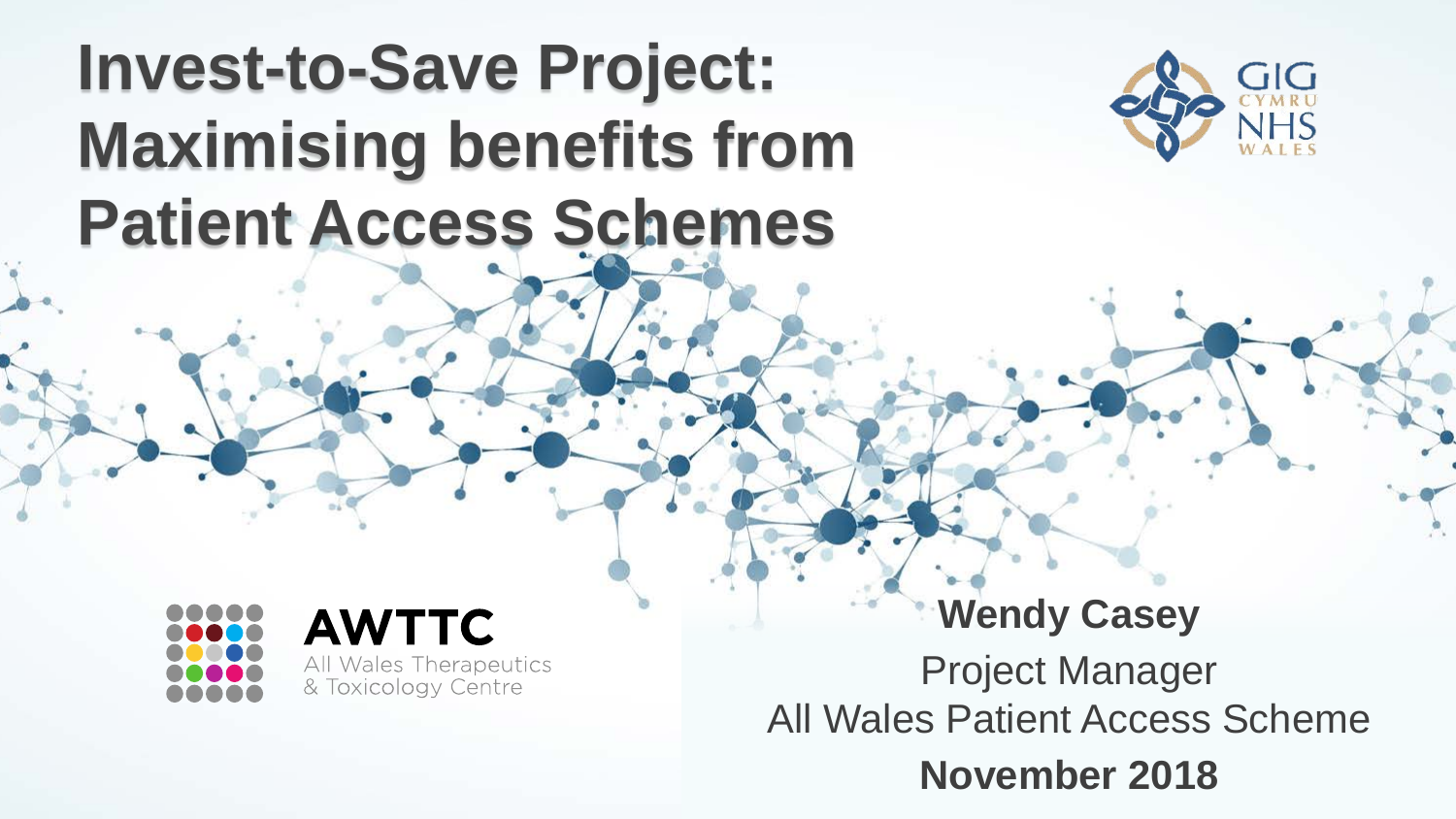# **Invest-to-Save Project: Maximising benefits from Patient Access Schemes**





**AWTTC** All Wales Therapeutics & Toxicology Centre

#### **Wendy Casey**

Project Manager All Wales Patient Access Scheme

**November 2018**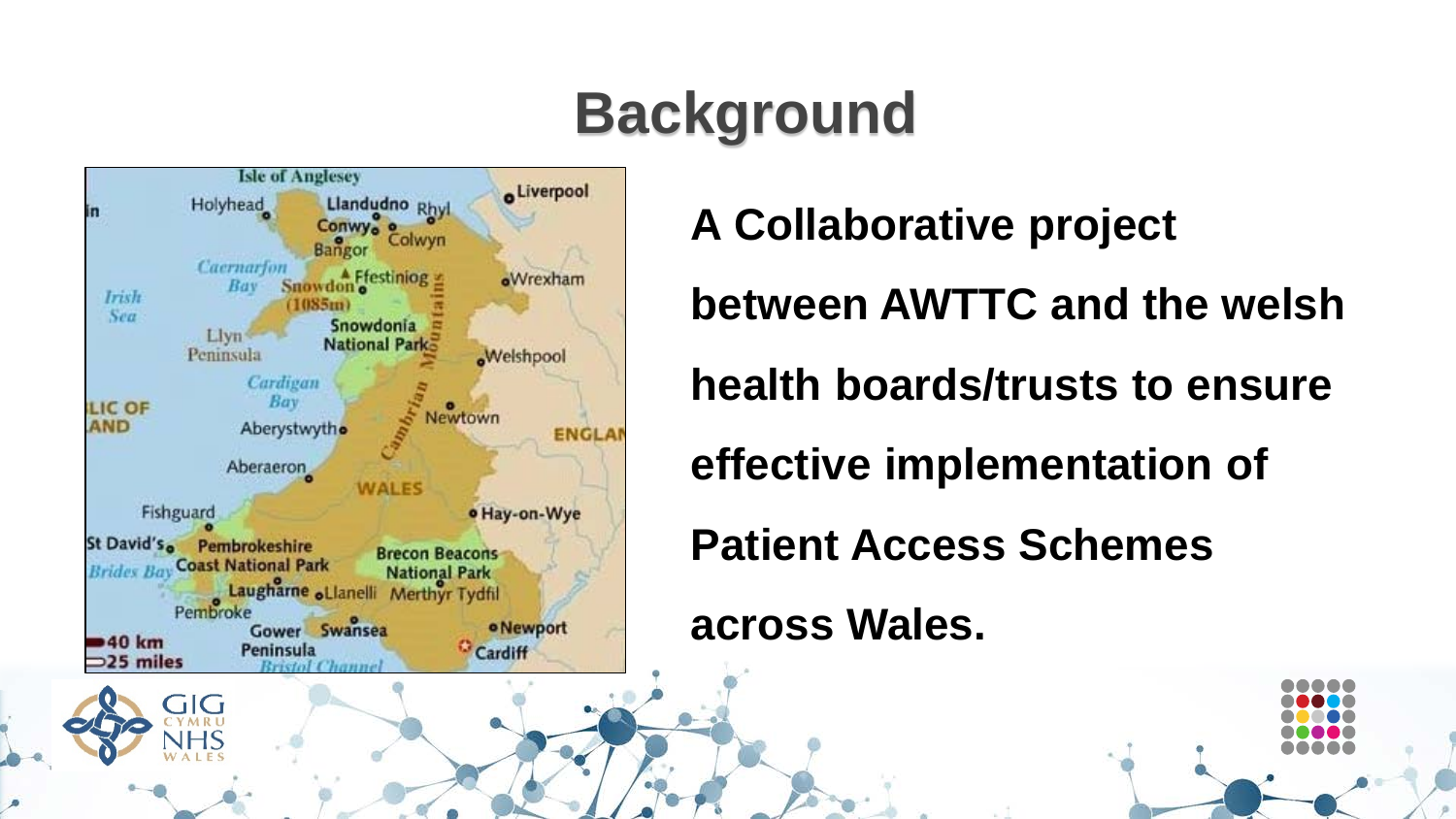## **Background**



**A Collaborative project** 

**between AWTTC and the welsh** 

**health boards/trusts to ensure** 

**effective implementation of** 

**Patient Access Schemes** 

#### **across Wales.**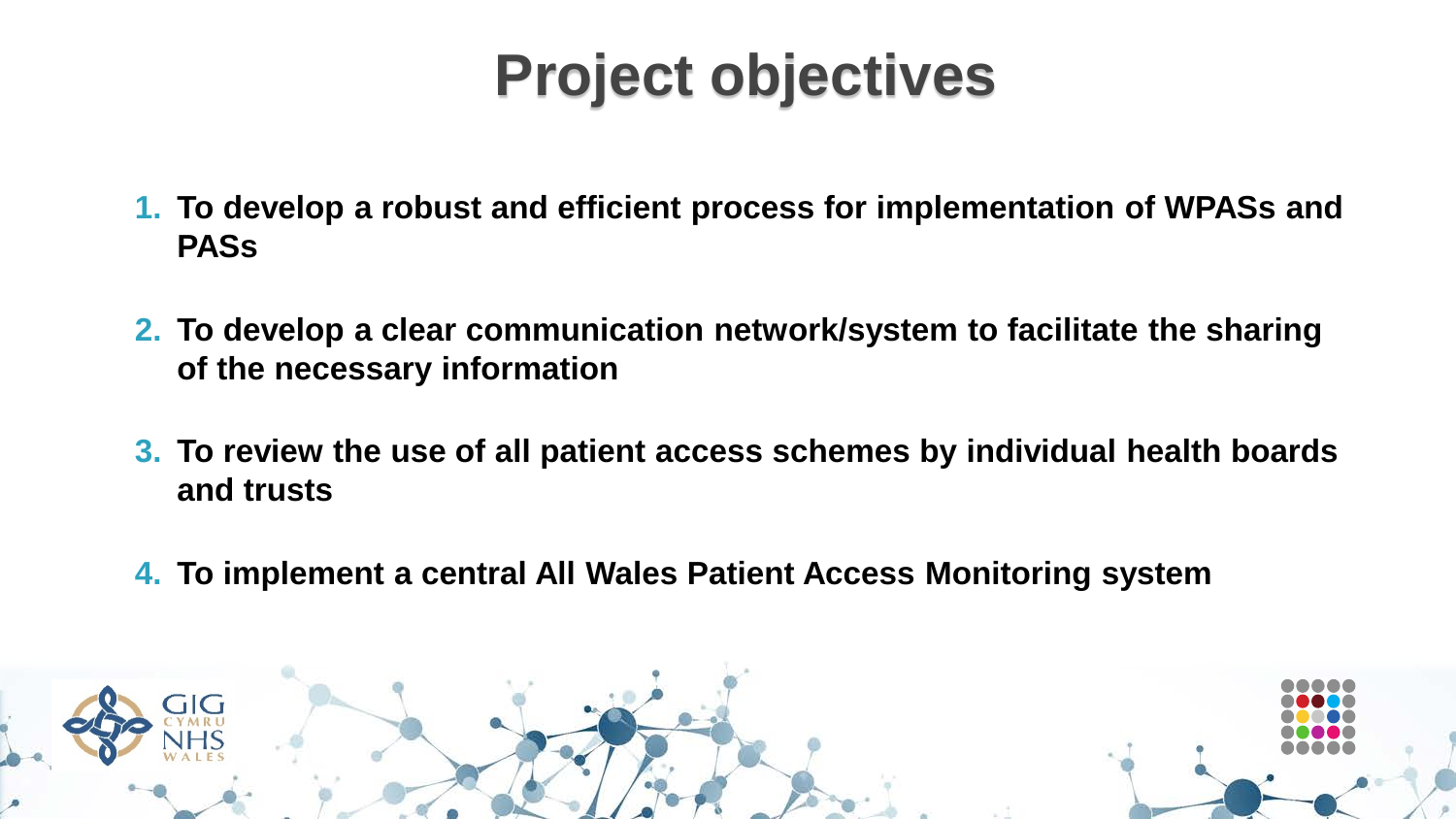## **Project objectives**

- **1. To develop a robust and efficient process for implementation of WPASs and PASs**
- **2. To develop a clear communication network/system to facilitate the sharing of the necessary information**
- **3. To review the use of all patient access schemes by individual health boards and trusts**
- **4. To implement a central All Wales Patient Access Monitoring system**

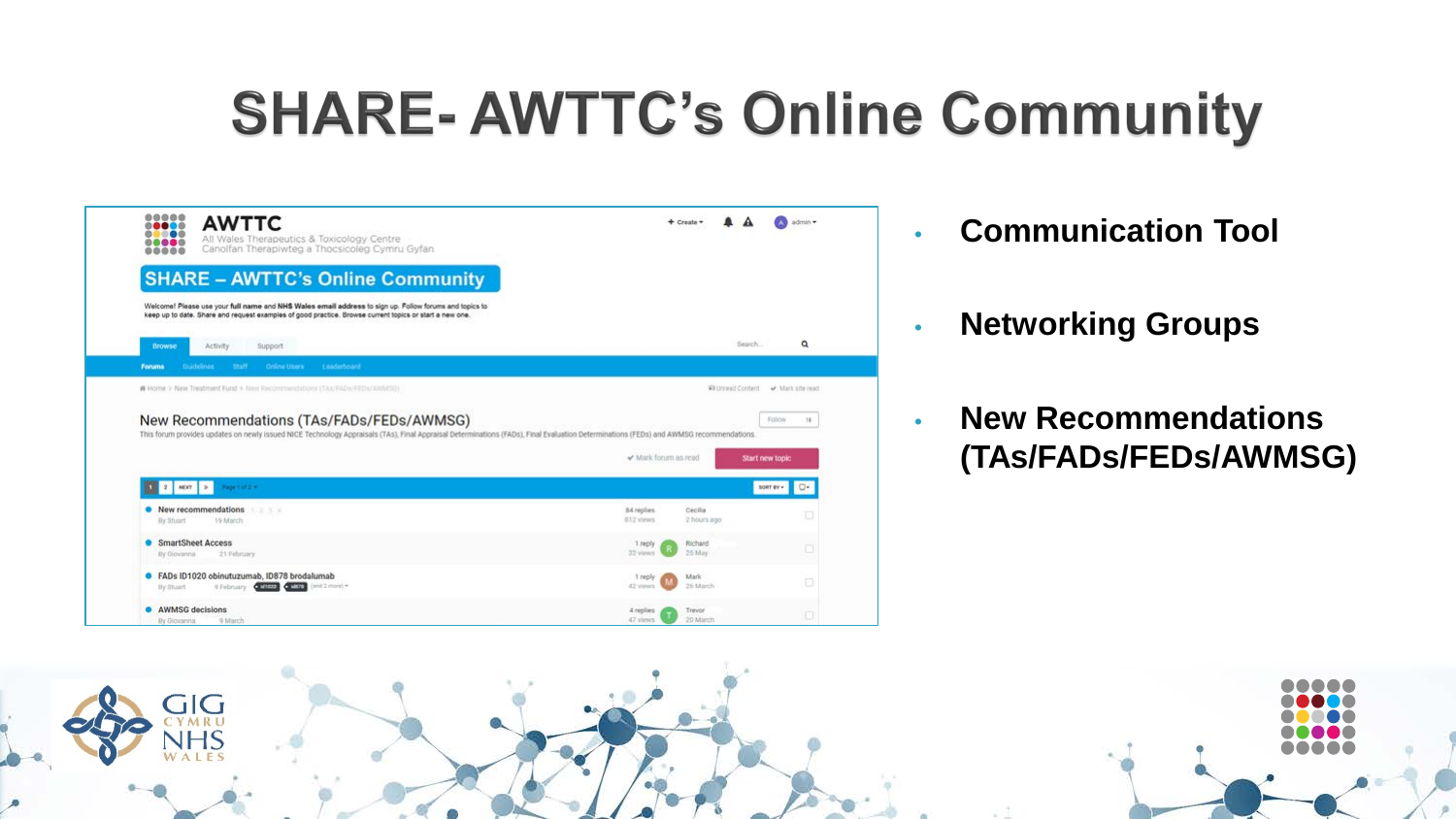## **SHARE- AWTTC's Online Community**

| <b>AWTTC</b><br><br>.<br>All Wales Therapeutics & Toxicology Centre<br>,<br>Canolfan Therapiwteg a Thocsicoleg Cymru Gyfan<br>88888                                                                                                       | $+$ Create $+$              |                        |         | admin =             |
|-------------------------------------------------------------------------------------------------------------------------------------------------------------------------------------------------------------------------------------------|-----------------------------|------------------------|---------|---------------------|
| <b>SHARE - AWTTC's Online Community</b>                                                                                                                                                                                                   |                             |                        |         |                     |
| Welcome! Please use your full name and NHS Wales email address to sign up. Follow forums and topics to<br>keep up to date. Share and request examples of good practice. Browse current topics or start a new one.                         |                             |                        |         |                     |
| <b>Activity</b><br>Support<br><b>Browse</b>                                                                                                                                                                                               |                             |                        | Search. | a                   |
| Leaderboard<br>Gradelines.<br>Staff.<br><b>Critine Users</b><br>Forums                                                                                                                                                                    |                             |                        |         |                     |
|                                                                                                                                                                                                                                           |                             |                        |         | Fallow<br>18        |
|                                                                                                                                                                                                                                           | Mark forum as read          |                        |         | Start new topic     |
| <b>В 2</b> мог »<br>Page 1 of 2 w                                                                                                                                                                                                         |                             |                        |         | sont ev -<br>$\Box$ |
| New Recommendations (TAs/FADs/FEDs/AWMSG)<br>• New recommendations<br>1.2.5.8<br>By Stuart<br>19 March                                                                                                                                    | 84 replies<br>£12 views     | Cecilia<br>2 hours ago |         | o                   |
| This forum provides updates on newly issued NICE Technology Appraisals (TAs), Final Appraisal Determinations (FADs), Final Evaluation Determinations (FEDs) and AWMSG recommendations.<br>SmartSheet Access<br>By Glovanna<br>21 February | 1 reply<br>33 views         | Richard<br>25 May      |         |                     |
| C FADs ID1020 obinutuzumab, ID878 brodalumab<br>9 February Control Catter (and 2 more) =<br>By Stuart                                                                                                                                     | Mark<br>1 reply<br>42 views | 26 March               |         | $\Box$              |

- **Communication Tool**
- **Networking Groups**

• **New Recommendations (TAs/FADs/FEDs/AWMSG)**

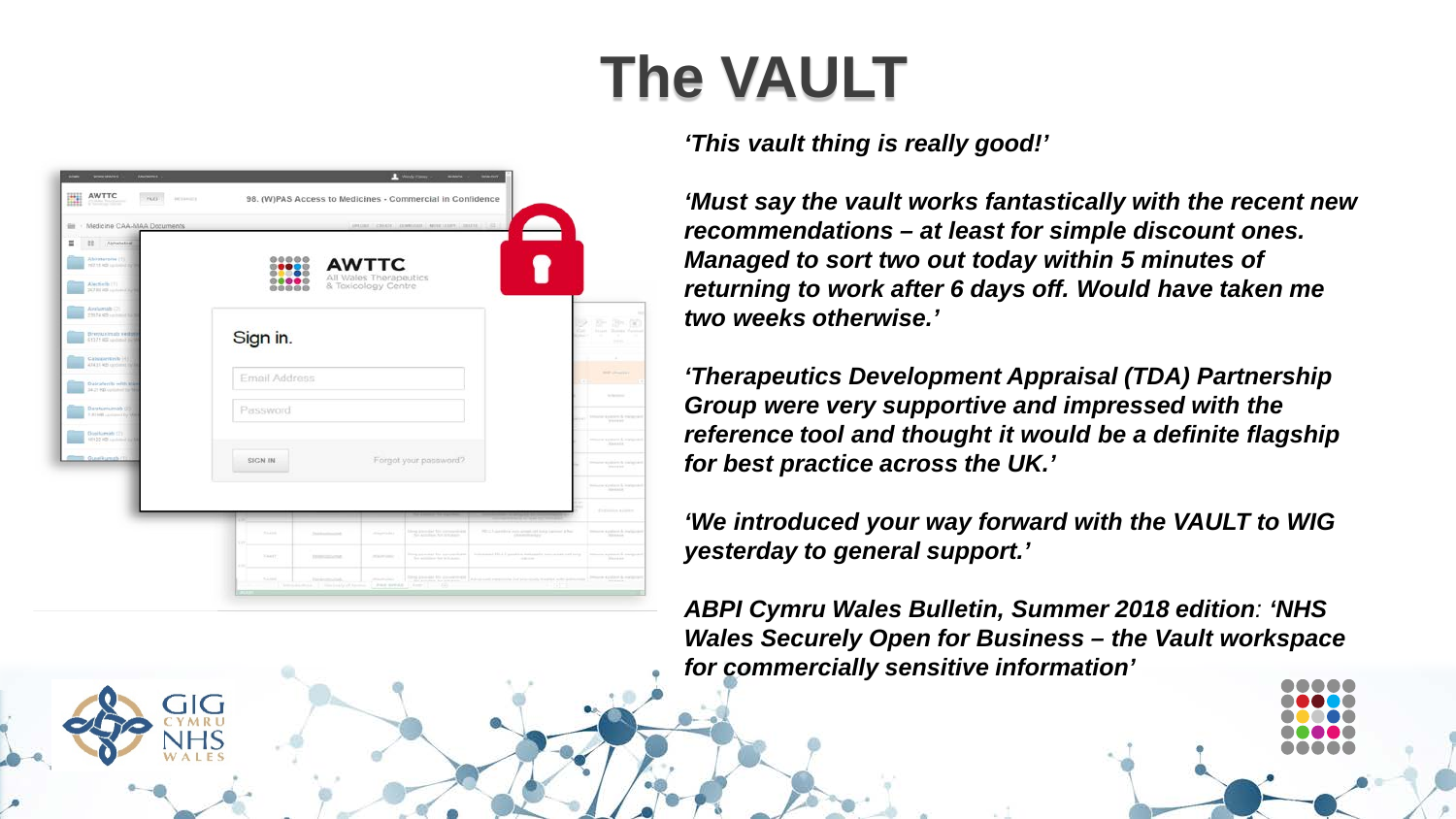## **The VAULT**

| <b>REMOVABILIS</b><br><b>MONTHS</b>                | $\perp$ mode cases -<br>SHICK -<br>ment                                                                                                                                                                                                                                           |
|----------------------------------------------------|-----------------------------------------------------------------------------------------------------------------------------------------------------------------------------------------------------------------------------------------------------------------------------------|
| <b>AWTTC</b><br>壨<br>FEES.<br><b>SCIENCI</b>       | 98. (W)PAS Access to Medicines - Commercial in Confidence                                                                                                                                                                                                                         |
| · Medicine CAA-MAA Documents<br>iii                | APAGAS CREATE ASSAULTS ANNOUNCE TRAINERS CA                                                                                                                                                                                                                                       |
| $\equiv$<br>m<br>Athologia                         |                                                                                                                                                                                                                                                                                   |
| Abiliberpine (1)<br>NZ 15 kB call                  | <b>AWTTC</b><br>All Wales Therapeutics                                                                                                                                                                                                                                            |
| Alectivity [1]<br><b>JAT REPORT CONTROLLED</b>     | 8 <b>868</b><br>& Toxicology Centre<br>                                                                                                                                                                                                                                           |
| Aratumati (2)<br>235.74 kth calmid                 |                                                                                                                                                                                                                                                                                   |
| Bremusinuis veilatti<br><b>C13 71 KG underwall</b> | æ<br>æ<br>Sign in.                                                                                                                                                                                                                                                                |
| Cabcerettvik [4]<br>474 314th unional Bill         |                                                                                                                                                                                                                                                                                   |
| Datesferritz with 1988                             | <b>SHELL</b><br><b>Email Address</b>                                                                                                                                                                                                                                              |
| 34.21.30) control of Birth                         | <b>School</b>                                                                                                                                                                                                                                                                     |
| Daratumumab (III)<br>1.83 MB - Location LEWIS      | Password<br>control de los<br><b>WANNAME</b>                                                                                                                                                                                                                                      |
| Dopitizmid: (2)<br>101.22 HD control 22            | accounts for the<br><b>RAFAIR</b>                                                                                                                                                                                                                                                 |
| and kursuh (1)                                     | Forgot your password?<br><b>SIGN IN</b><br>contract de los<br><b>STATISTIC</b>                                                                                                                                                                                                    |
|                                                    | a screen in A. Ing<br><b>Service</b>                                                                                                                                                                                                                                              |
|                                                    |                                                                                                                                                                                                                                                                                   |
|                                                    | colorida de imp<br>of free did for conserved<br><b>Read Ford</b><br>entering overside agreement to the four-layer contract of Press<br><b>TAXA</b><br>Sustainable of<br><b>STANDARD STATE</b><br>The Armstran Text Artists and<br><b>Literature Apr</b><br><b>SERAIA</b><br>sure. |
|                                                    | queens to second<br>ment form<br><b>Sawiff</b><br>Terms and artists<br><b>STATISTICS</b><br>They accompany four train states.<br>1911<br><b>Standard</b><br>and .                                                                                                                 |
|                                                    | ting paids by produced<br>colorida el<br>SAME<br>Parascussion,<br><b>STANDARD</b><br>this associate for actuals<br><b>CAS SPEAK</b><br>Avenue Council<br>Antonio des Mondo,  (1)  Silver London and Advertised                                                                    |

*'This vault thing is really good!'*

*'Must say the vault works fantastically with the recent new recommendations – at least for simple discount ones. Managed to sort two out today within 5 minutes of returning to work after 6 days off. Would have taken me two weeks otherwise.'*

*'Therapeutics Development Appraisal (TDA) Partnership Group were very supportive and impressed with the reference tool and thought it would be a definite flagship for best practice across the UK.'* 

*'We introduced your way forward with the VAULT to WIG yesterday to general support.'*

*ABPI Cymru Wales Bulletin, Summer 2018 edition: 'NHS Wales Securely Open for Business – the Vault workspace for commercially sensitive information'*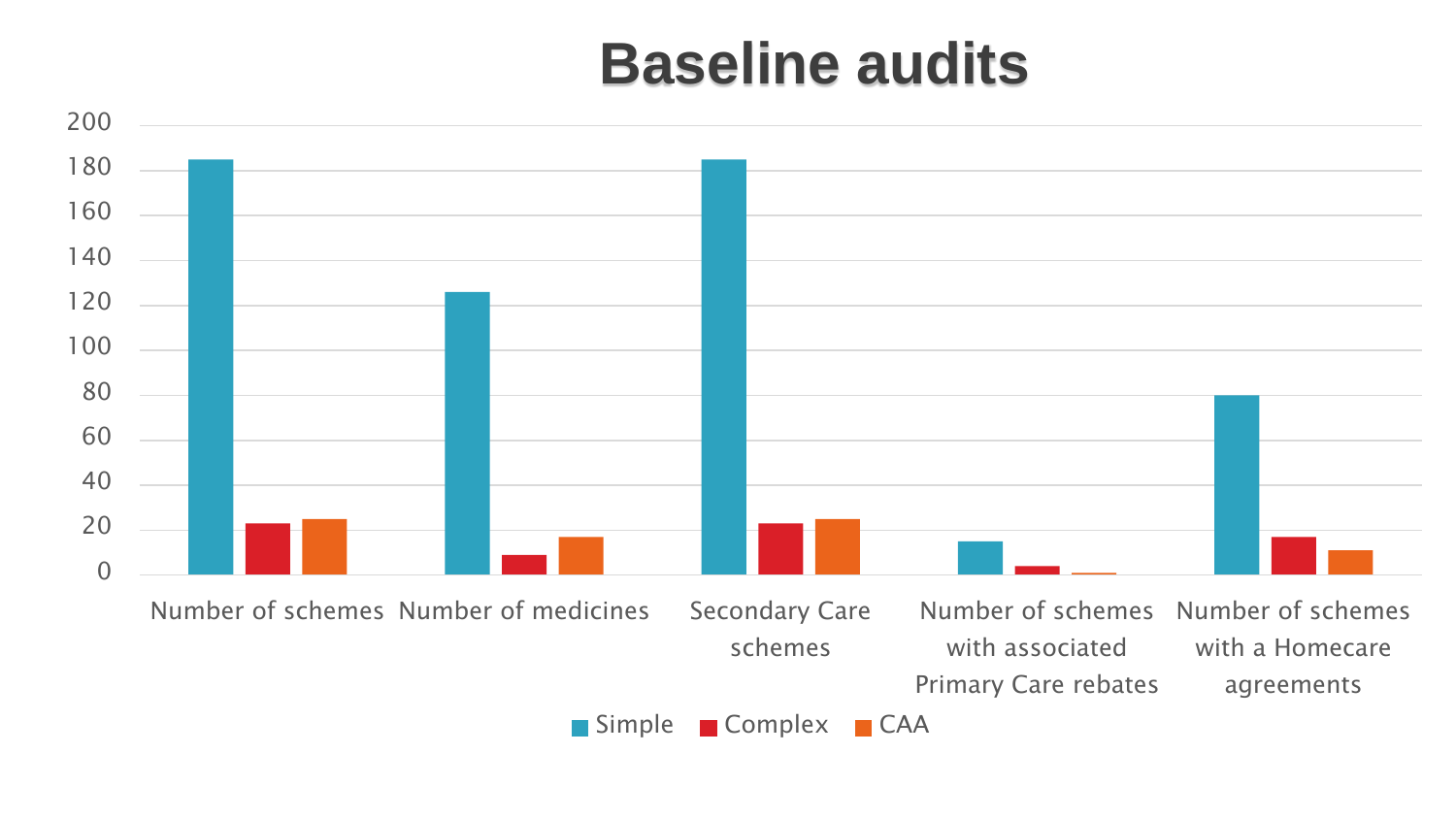#### **Baseline audits**

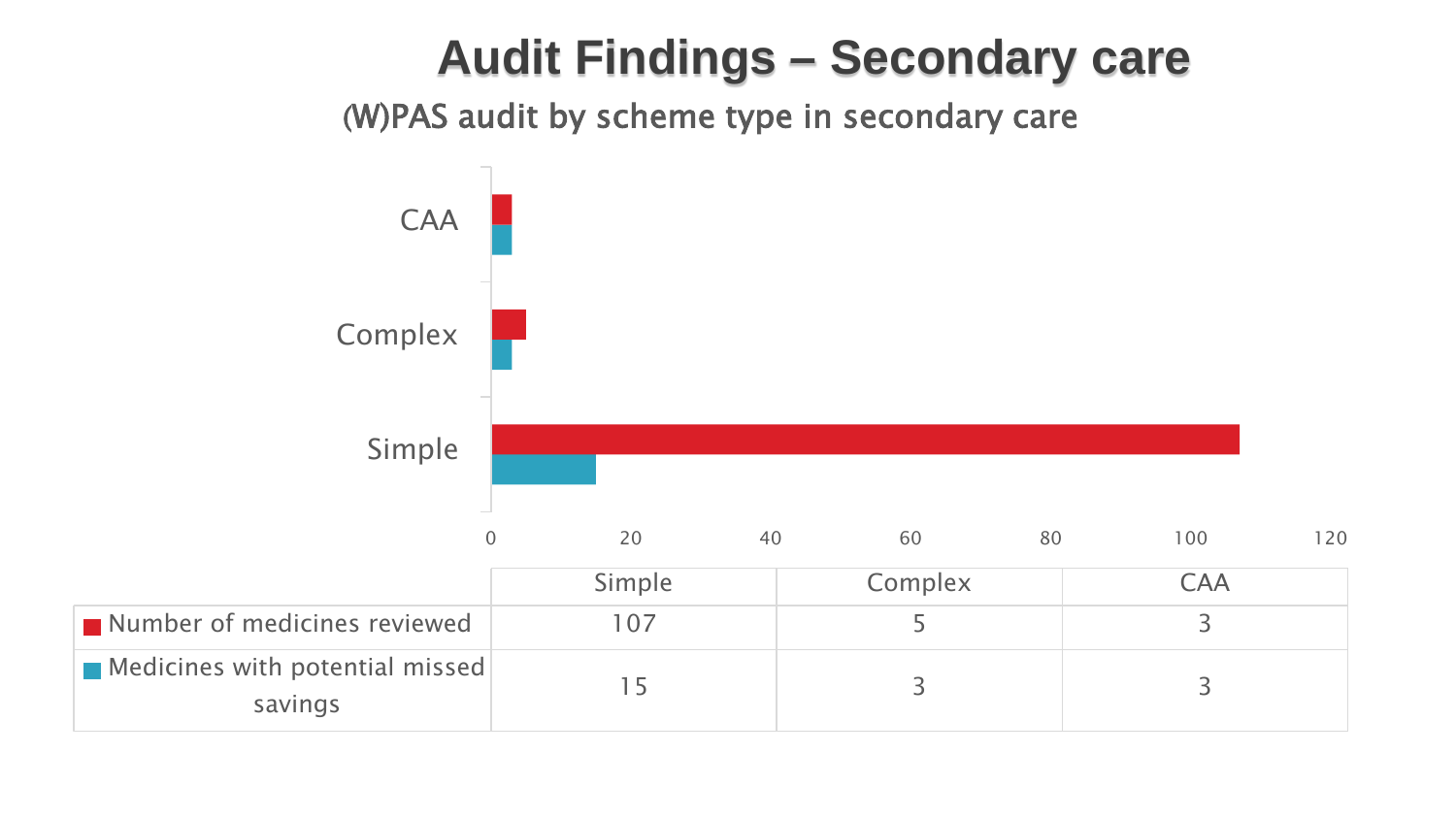#### **Audit Findings – Secondary care**

(W)PAS audit by scheme type in secondary care

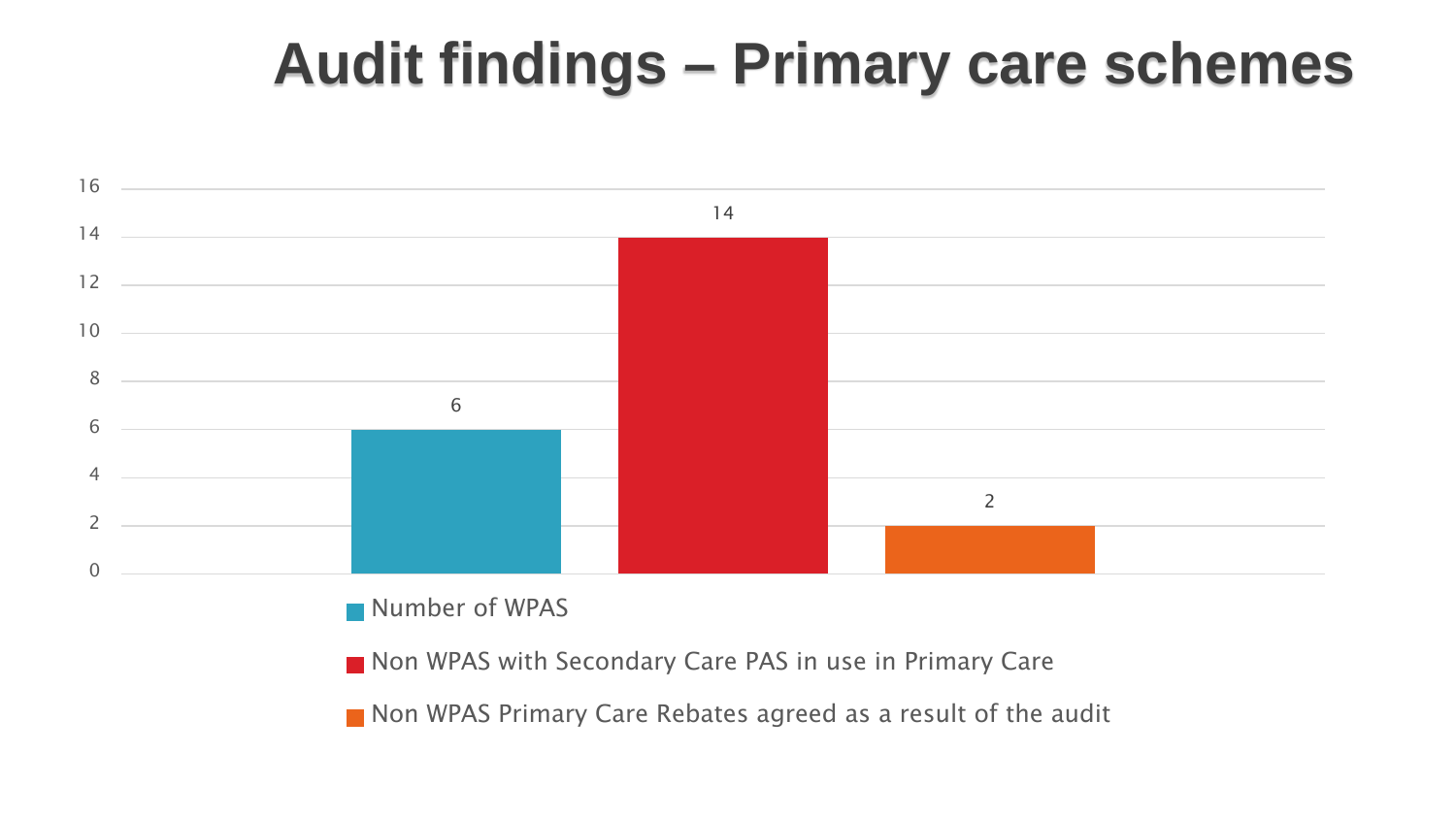#### **Audit findings – Primary care schemes**



**Number of WPAS** 

Non WPAS with Secondary Care PAS in use in Primary Care

Non WPAS Primary Care Rebates agreed as a result of the audit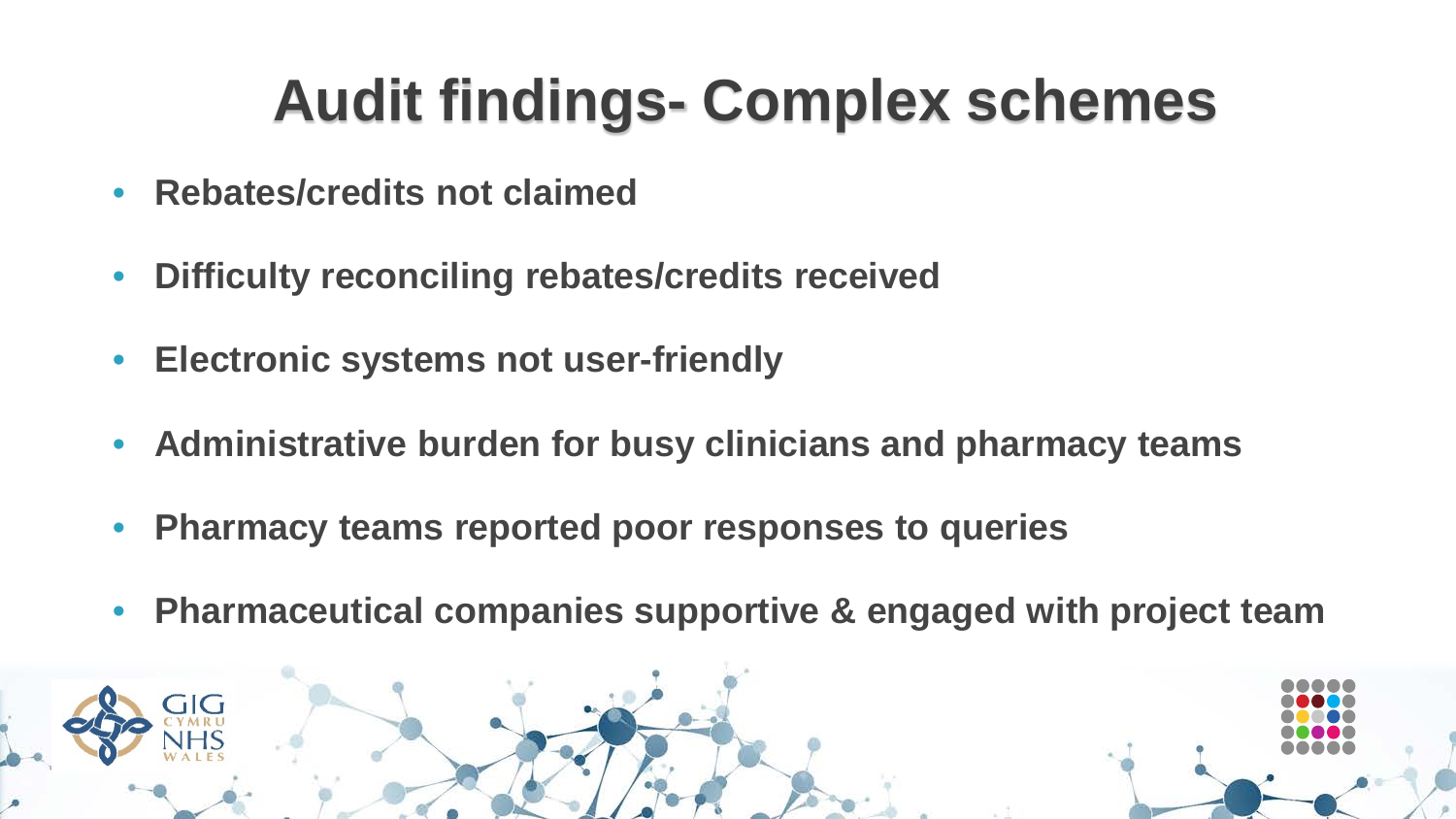## **Audit findings- Complex schemes**

- **Rebates/credits not claimed**
- **Difficulty reconciling rebates/credits received**
- **Electronic systems not user-friendly**
- **Administrative burden for busy clinicians and pharmacy teams**
- **Pharmacy teams reported poor responses to queries**
- **Pharmaceutical companies supportive & engaged with project team**

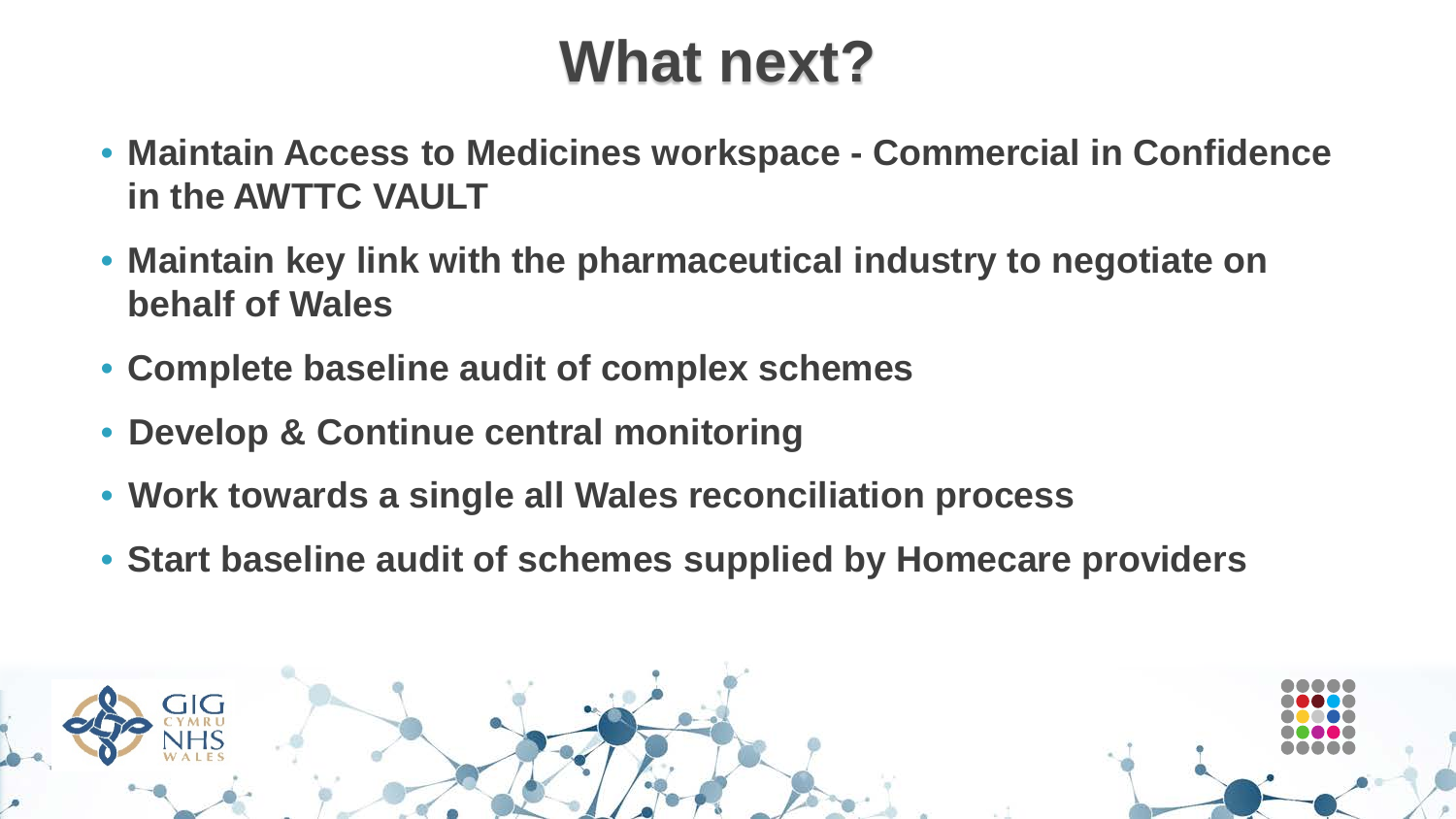#### **What next?**

- **Maintain Access to Medicines workspace - Commercial in Confidence in the AWTTC VAULT**
- **Maintain key link with the pharmaceutical industry to negotiate on behalf of Wales**
- **Complete baseline audit of complex schemes**
- **Develop & Continue central monitoring**
- **Work towards a single all Wales reconciliation process**
- **Start baseline audit of schemes supplied by Homecare providers**